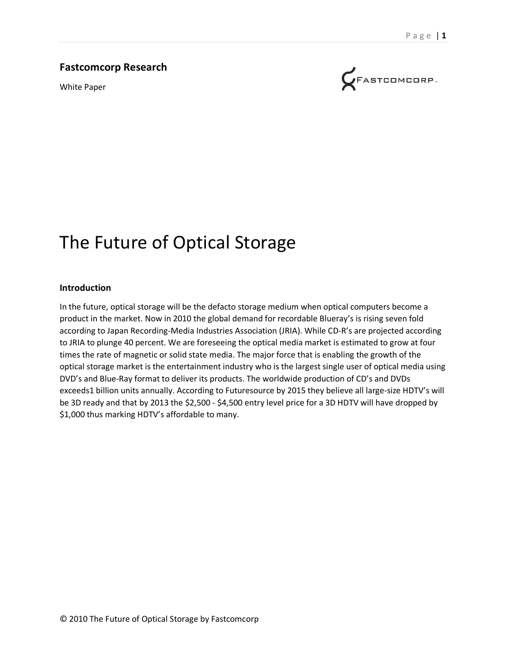#### **Fastcomcorp Research**

White Paper



# The Future of Optical Storage

#### **Introduction**

In the future, optical storage will be the defacto storage medium when optical computers become a product in the market. Now in 2010 the global demand for recordable Blueray's is rising seven fold according to Japan Recording-Media Industries Association (JRIA). While CD-R's are projected according to JRIA to plunge 40 percent. We are foreseeing the optical media market is estimated to grow at four times the rate of magnetic or solid state media. The major force that is enabling the growth of the optical storage market is the entertainment industry who is the largest single user of optical media using DVD's and Blue-Ray format to deliver its products. The worldwide production of CD's and DVDs exceeds1 billion units annually. According to Futuresource by 2015 they believe all large-size HDTV's will be 3D ready and that by 2013 the \$2,500 - \$4,500 entry level price for a 3D HDTV will have dropped by \$1,000 thus marking HDTV's affordable to many.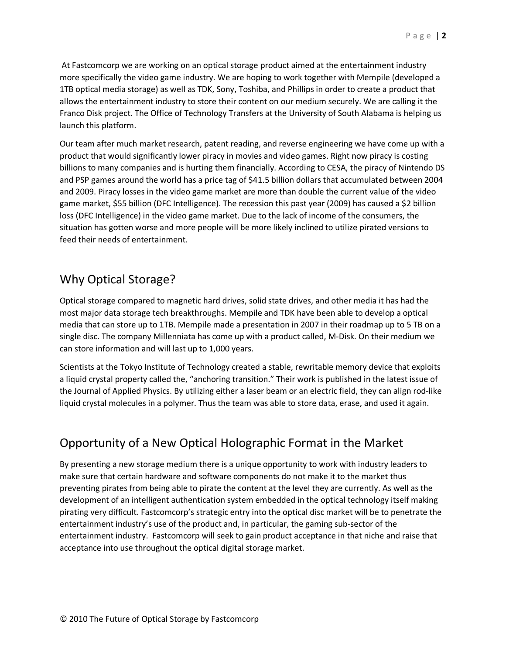At Fastcomcorp we are working on an optical storage product aimed at the entertainment industry more specifically the video game industry. We are hoping to work together with Mempile (developed a 1TB optical media storage) as well as TDK, Sony, Toshiba, and Phillips in order to create a product that allows the entertainment industry to store their content on our medium securely. We are calling it the Franco Disk project. The Office of Technology Transfers at the University of South Alabama is helping us launch this platform.

Our team after much market research, patent reading, and reverse engineering we have come up with a product that would significantly lower piracy in movies and video games. Right now piracy is costing billions to many companies and is hurting them financially. According to CESA, the piracy of Nintendo DS and PSP games around the world has a price tag of \$41.5 billion dollars that accumulated between 2004 and 2009. Piracy losses in the video game market are more than double the current value of the video game market, \$55 billion (DFC Intelligence). The recession this past year (2009) has caused a \$2 billion loss (DFC Intelligence) in the video game market. Due to the lack of income of the consumers, the situation has gotten worse and more people will be more likely inclined to utilize pirated versions to feed their needs of entertainment.

## Why Optical Storage?

Optical storage compared to magnetic hard drives, solid state drives, and other media it has had the most major data storage tech breakthroughs. Mempile and TDK have been able to develop a optical media that can store up to 1TB. Mempile made a presentation in 2007 in their roadmap up to 5 TB on a single disc. The company Millenniata has come up with a product called, M-Disk. On their medium we can store information and will last up to 1,000 years.

Scientists at the Tokyo Institute of Technology created a stable, rewritable memory device that exploits a liquid crystal property called the, "anchoring transition." Their work is published in the latest issue of the Journal of Applied Physics. By utilizing either a laser beam or an electric field, they can align rod-like liquid crystal molecules in a polymer. Thus the team was able to store data, erase, and used it again.

## Opportunity of a New Optical Holographic Format in the Market

By presenting a new storage medium there is a unique opportunity to work with industry leaders to make sure that certain hardware and software components do not make it to the market thus preventing pirates from being able to pirate the content at the level they are currently. As well as the development of an intelligent authentication system embedded in the optical technology itself making pirating very difficult. Fastcomcorp's strategic entry into the optical disc market will be to penetrate the entertainment industry's use of the product and, in particular, the gaming sub-sector of the entertainment industry. Fastcomcorp will seek to gain product acceptance in that niche and raise that acceptance into use throughout the optical digital storage market.